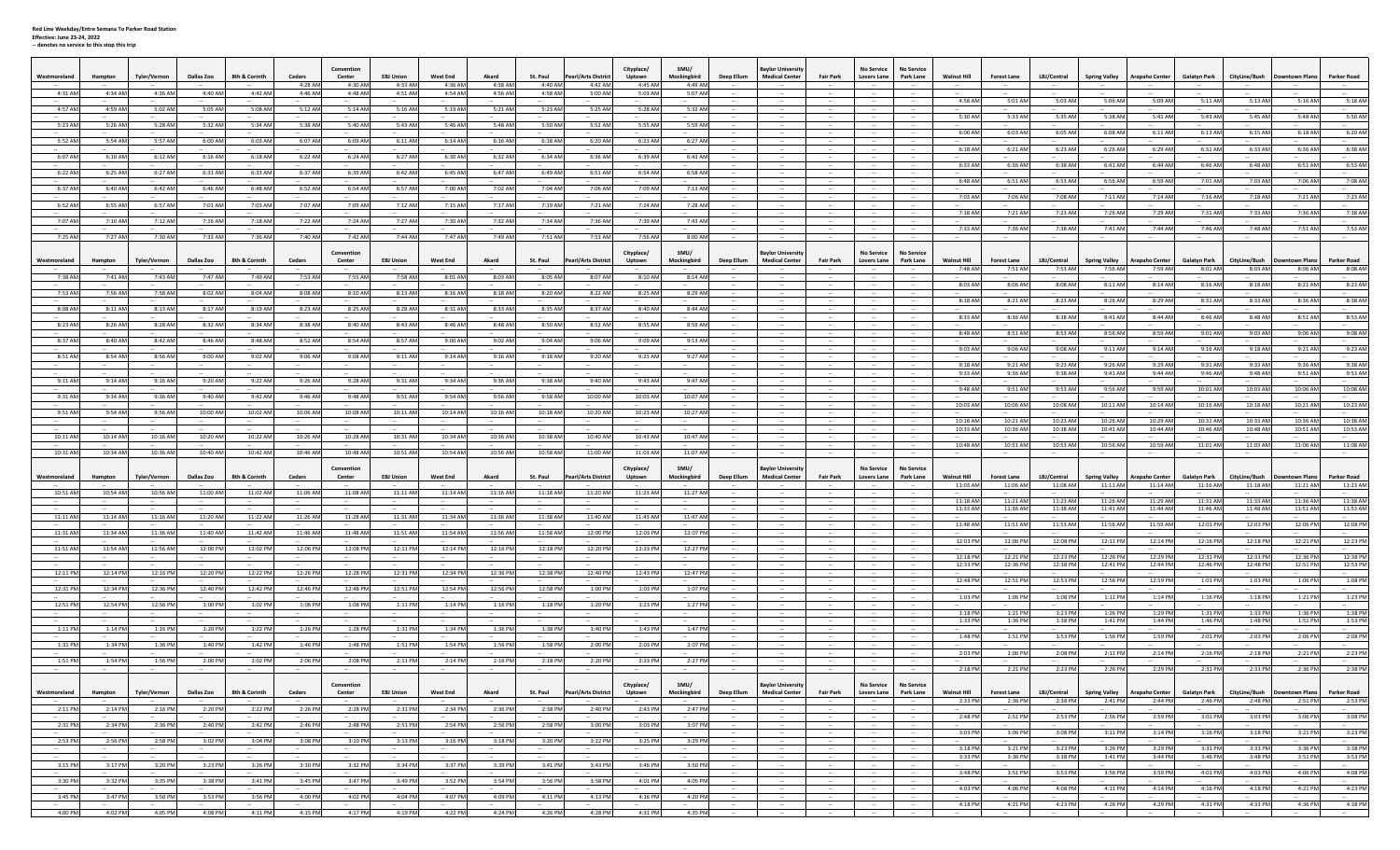## **Effective: June 23‐24, 2022 ‐‐ denotes no service to this stop this trip**

| Westmoreland        | Hampton           | Tyler/Vernon           | Dallas Zoo                | 8th & Corinth     | Cedars             | Convention<br>Center      | <b>EBJ Union</b>   | West End<br>4:36 AM | Akard                    | St. Paul           | <b>Pearl/Arts District</b> | Cityplace/<br>Uptown | SMU/<br>Mockingbird          | Deep Ellum       | <b>Bavlor University</b><br><b>Medical Center</b> | <b>Fair Park</b> | <b>No Service</b><br>Lovers Lane        | <b>No Service</b><br>Park Lane | <b>Walnut Hill</b>             | <b>Forest Lane</b>             | LBJ/Central             | <b>Spring Valley</b>             | <b>Arapaho Center</b>             | <b>Galatyn Park</b>            | CityLine/Bush                | owntown Plano         | <b>Parker Road</b>      |
|---------------------|-------------------|------------------------|---------------------------|-------------------|--------------------|---------------------------|--------------------|---------------------|--------------------------|--------------------|----------------------------|----------------------|------------------------------|------------------|---------------------------------------------------|------------------|-----------------------------------------|--------------------------------|--------------------------------|--------------------------------|-------------------------|----------------------------------|-----------------------------------|--------------------------------|------------------------------|-----------------------|-------------------------|
| 4:31 AM             | 4:34 AM           | 4:36 AM                | 4:40 AM                   | 4:42 AM           | 4:28 AM<br>4:46 AM | 4:30 AM<br>4:48 AM        | 4:33 AM<br>4:51 AM | 4:54 AM             | 4:38 AM<br>4:56 AM       | 4:40 AM<br>4:58 AM | 4:42 AM<br>5:00 AM         | 4:45 AM<br>5:03 AM   | 4:49 AM<br>5:07 AM           |                  |                                                   |                  |                                         |                                |                                |                                |                         |                                  |                                   |                                |                              |                       |                         |
| 4:57 AN             | 4:59 AM           | 5:02 AM                | 5:05 AM                   | 5:08 AM           | 5:12 AM            | 5:14 AM                   | 5:16 AM            | 5:19 AM             | 5:21 AM                  | 5:23 AM            | 5:25 AM                    | 5:28 AM              | 5:32 AM                      |                  |                                                   |                  |                                         |                                | 4:58 AM                        | 5:01 AM                        | 5:03 AM                 | 5:06 AM                          | 5:09 AM                           | 5:11 AM                        | 5:13 AM                      | 5:16 AM               | 5:18 AM                 |
|                     |                   |                        |                           |                   |                    |                           |                    |                     |                          |                    |                            |                      |                              |                  |                                                   |                  |                                         |                                | 5:30 AM                        | 5:33 AM                        | 5:35 AM                 | 5:38 AM                          | 5:41 AM                           | 5:43 AN                        | 5:45 AM                      | 5:48 AM               | 5:50 AM                 |
| 5:23 AM             | 5:26 AM           | 5:28 AM                | 5:32 AM                   | 5:34 AM           | 5:38 AM            | 5:40 AM                   | 5:43 AM            | 5:46 AM             | 5:48 AM                  | 5:50 AM            | 5:52 AM                    | 5:55 AM              | 5:59 AM                      |                  |                                                   |                  |                                         |                                | 6:00 AM                        | 6:03 AM                        | 6:05 AM                 | 6:08 AM                          | 6:11 AM                           | 6:13 AM                        | 6:15 AM                      | 6:18 AM               | 6:20 AM                 |
| 5:52 AM             | 5:54 AM           | 5:57 AM                | 6:00 AM                   | 6:03 AM           | 6:07 AM            | 6:09 AM                   | 6:11 AM            | 6:14 AM             | 6:16 AM                  | 6:18 AM            | 6:20 AM                    | 6:23 AM              | 6:27 AM                      |                  |                                                   |                  |                                         |                                | 6:18 AM                        | 6:21 AM                        | 6:23 AM                 | 6:26 AM                          | 6:29 AM                           | 6:31 AM                        | 6:33 AM                      | 6:36 AM               | 6:38 AM                 |
| 6:07 AM             | 6:10 AM           | 6:12 AM                | 6:16 AM                   | 6:18 AM           | 6:22 AM            | 6:24 AM                   | 6:27 AM            | 6:30 AM             | 6:32 AM                  | 6:34 AM            | 6:36 AM                    | 6:39 AM              | 6:43 AM                      | $\sim$           | $\sim$                                            |                  |                                         |                                |                                |                                |                         |                                  |                                   |                                |                              |                       |                         |
| 6:22 AM             | 6:25 AM           | 6:27 AM                | 6:31 AM                   | 6:33 AM           | 6:37 AM            | 6:39 AM                   | 6:42 AM            | 6:45 AM             | 6:47 AM                  | 6:49 AM            | 6:51 AN                    | 6:54 AM              | 6:58 AM                      |                  |                                                   |                  |                                         |                                | 6:33 AM                        | 6:36 AM                        | 6:38 AM                 | 6:41 AM                          | 6:44 AM                           | 6:46 AM                        | 6:48 AM                      | 6:51 AM               | 6:53 AM                 |
| 6:37 AM             | 6:40 AM           | 6:42 AM                | 6:46 AM                   | 6:48 AM           | 6:52 AM            | 6:54 AM                   | 6:57 AM            | 7:00 AM             | 7:02 AM                  | 7:04 AM            | 7:06 AM                    | 7:09 AM              | 7:13 AM                      |                  |                                                   |                  |                                         |                                | 6:48 AM                        | 6:51 AM                        | 6:53 AM                 | 6:56 AM                          | 6:59 AM                           | 7:01 AM                        | 7:03 AM                      | 7:06 AM               | 7:08 AM                 |
|                     |                   |                        |                           |                   |                    |                           |                    |                     |                          |                    |                            |                      |                              |                  |                                                   |                  |                                         |                                | 7:03 AM                        | 7:06 AM                        | 7:08 AM                 | 7:11 AM                          | 7:14 AM                           | 7:16 AM                        | 7:18 AM                      | 7:21 AM               | 7:23 AM                 |
| 6:52 AM             | 6:55 AM           | 6:57 AM                | 7:01 AM                   | 7:03 AM           | 7:07 AM            | 7:09 AM                   | 7:12 AM            | 7:15 AM             | 7:17 AM                  | 7:19 AM            | 7:21 AM                    | 7:24 AM              | 7:28 AM                      |                  |                                                   |                  | $\sim$<br>$\sim$                        |                                | 7:18 AM                        | 7:21 AM                        | 7:23 AM                 | 7:26 AM                          | 7:29 AM                           | 7:31 AM                        | 7:33 AM                      | 7:36 AM               | 7:38 AM                 |
| 7:07 AM             | 7:10 AM           | 7:12 AM                | 7:16 AM                   | 7:18 AM           | 7:22 AM            | 7:24 AM                   | 7:27 AM            | 7:30 AM             | 7:32 AM                  | 7:34 AM            | 7:36 AM                    | 7:39 AM              | 7:43 AM                      |                  |                                                   |                  |                                         |                                | 7:33 AM                        | 7:36 AM                        | 7:38 AM                 | 7:41 AM                          | 7:44 AM                           | 7:46 AN                        | 7:48 AM                      | 7:51 AM               | 7:53 AM                 |
| 7:25 AM             | 7:27 AM           | 7:30 AM                | 7:33 AM                   | 7:36 AM           | 7:40 AM            | 7:42 AM                   | 7:44 AM            | 7:47 AM             | 7:49 AM                  | 7:51 AM            | 7:53 AM                    | 7:56 AM              | 8:00 AM                      |                  |                                                   |                  |                                         |                                |                                |                                |                         |                                  |                                   |                                |                              |                       |                         |
|                     |                   |                        |                           |                   |                    | Convention                |                    |                     |                          |                    |                            | Cityplace/           | SMU/                         |                  | <b>Javlor Universit</b>                           |                  | <b>No Service</b>                       | <b>No Service</b>              |                                |                                |                         |                                  |                                   |                                |                              |                       |                         |
| Westmoreland        | Hampton           | Tyler/Vernon           | Dallas Zoo                | 8th & Corinth     | Cedars             | Center                    | <b>EBJ Union</b>   | <b>West End</b>     | Akard                    | St. Paul           | <b>Pearl/Arts District</b> | Uptown               | Mockingbird                  | Deep Ellum       | <b>Medical Center</b>                             | <b>Fair Park</b> | <b>Lovers Lane</b>                      | Park Lane                      | <b>Walnut Hill</b><br>7:48 AM  | <b>Forest Lane</b><br>7:51 AM  | LBJ/Central<br>7:53 AM  | <b>Spring Valley</b><br>7:56 AM  | <b>Arapaho Center</b><br>7:59 AM  | <b>Galatyn Park</b><br>8:01 AM | CityLine/Bush<br>8:03 AM     | own Plano<br>8:06 AM  | Parker Road<br>8:08 AM  |
| 7:38 AN             | 7:41 AM           | 7:43 AM                | 7:47 AM                   | 7:49 AM           | 7:53 AM            | 7:55 AM                   | 7:58 AM            | 8:01 AM             | 8:03 AM                  | 8:05 AM            | 8:07 AM                    | 8:10 AM              | 8:14 AM                      |                  |                                                   |                  |                                         |                                |                                |                                |                         |                                  |                                   |                                |                              |                       |                         |
| 7:53 AM             | 7:56 AM           | 7:58 AM                | 8:02 AM                   | 8:04 AM           | 8:08 AM            | 8:10 AM                   | 8:13 AM            | 8:16 AM             | 8:18 AM                  | 8:20 AM            | 8:22 AN                    | 8:25 AM              | 8:29 AM                      |                  |                                                   |                  |                                         |                                | 8:03 AM                        | 8:06 AM                        | 8:08 AM                 | 8:11 AM                          | 8:14 AM                           | 8:16 AM                        | 8:18 AM                      | 8:21 AM               | 8:23 AM                 |
| 8:08 AM             | 8:11 AM           | 8:13 AM                | 8:17 AM                   | 8:19 AM           | 8:23 AM            | 8:25 AM                   | 8:28 AM            | 8:31 AM             | 8:33 AM                  | 8:35 AM            | 8:37 AM                    | 8:40 AM              | 8:44 AM                      |                  |                                                   |                  | $\sim$                                  |                                | 8:18 AM                        | 8:21 AM                        | 8:23 AM                 | 8:26 AM                          | 8:29 AM                           | 8:31 AM                        | 8:33 AM                      | 8:36 AM               | 8:38 AM                 |
|                     |                   |                        |                           |                   |                    |                           |                    |                     |                          |                    |                            |                      |                              |                  |                                                   |                  |                                         |                                | 8:33 AM                        | 8:36 AM                        | 8:38 AM                 | 8:41 AM                          | 8:44 AM                           | 8:46 AM                        | 8:48 AM                      | 8:51 AM               | 8:53 AM                 |
| 8:23 AM             | 8:26 AM           | 8:28 AM                | 8:32 AM                   | 8:34 AM           | 8:38 AM            | 8:40 AM                   | 8:43 AM            | 8:46 AM             | 8:48 AM                  | 8:50 AM            | 8:52 AM                    | 8:55 AM              | 8:59 AM                      |                  |                                                   |                  |                                         |                                | 8:48 AM                        | 8:51 AM                        | 8:53 AM                 | 8:56 AM                          | 8:59 AM                           | 9:01 AM                        | 9:03 AM                      | 9:06 AM               | 9:08 AM                 |
| 8:37 AM             | 8:40 AM           | 8:42 AM                | 8:46 AM                   | 8:48 AM           | 8:52 AM            | 8:54 AM                   | 8:57 AM            | 9:00 AM             | 9:02 AM                  | 9:04 AM            | 9:06 AM                    | 9:09 AM              | 9:13 AM                      | $\sim$           | $\sim$                                            |                  | $\sim$                                  |                                | 9:03 AM                        | 9:06 AM                        | 9:08 AM                 | 9:11 AM                          | 9:14 AM                           | 9:16 AM                        | 9:18 AM                      | 9:21 AM               | 9:23 AM                 |
| 8:51 AM             | 8:54 AM           | 8:56 AM                | 9:00 AM                   | 9:02 AM           | 9:06 AM            | 9:08 AM                   | 9:11 AM            | 9:14 AM             | 9:16 AM                  | 9:18 AM            | 9:20 AM                    | 9:23 AM              | 9:27 AM                      |                  |                                                   |                  |                                         |                                | 9:18 AM                        | 9:21 AM                        | 9:23 AM                 | 9:26 AM                          | 9:29 AM                           | 9:31 AN                        | 9:33 AM                      | 9:36 AM               | 9:38 AM                 |
|                     |                   |                        |                           |                   |                    |                           |                    |                     |                          |                    |                            |                      |                              |                  |                                                   |                  |                                         |                                | 9:33 AM                        | 9:36 AM                        | 9:38 AM                 | 9:41 AM                          | 9:44 AM                           | 9:46 AN                        | 9:48 AM                      | 9:51 AM               | 9:53 AM                 |
| 9:11 AM             | 9:14 AM           | 9:16 AM                | 9:20 AM                   | 9:22 AM           | 9:26 AM            | 9:28 AM                   | 9:31 AM            | 9:34 AM             | 9:36 AM                  | 9:38 AM            | 9:40 AN                    | 9:43 AM              | 9:47 AM                      |                  |                                                   |                  |                                         |                                | 9:48 AM                        | 9:51 AM                        | 9:53 AM                 | 9:56 AM                          | 9:59 AM                           | 10:01 AM                       | 10:03 AM                     | 10:06 AM              | 10:08 AM                |
| 9:31 AM             | 9:34 AM           | 9:36 AM                | 9:40 AM                   | 9:42 AM           | 9:46 AM            | 9:48 AM                   | 9:51 AM            | 9:54 AM             | 9:56 AM                  | 9:58 AM            | 10:00 AM                   | 10:03 AM             | 10:07 AM                     |                  |                                                   |                  |                                         |                                | 10:03 AM                       | 10:06 AM                       | 10:08 AM                | 10:11 AM                         | 10:14 AM                          | 10:16 AM                       | 10:18 AM                     | 10:21 AM              | 10:23 AM                |
| 9:51 AM             | 9:54 AM           | 9:56 AM                | 10:00 AM                  | 10:02 AM          | 10:06 AM           | 10:08 AM                  | 10:11 AM           | 10:14 AM            | 10:16 AM                 | 10:18 AM           | 10:20 AM                   | 10:23 AM             | 10:27 AM                     |                  |                                                   |                  |                                         |                                |                                |                                |                         |                                  |                                   |                                |                              |                       |                         |
|                     |                   |                        |                           |                   |                    |                           |                    |                     |                          |                    |                            |                      |                              |                  |                                                   |                  |                                         |                                | 10:18 AM<br>10:33 AM           | 10:21 AM<br>10:36 AM           | 10:23 AM<br>10:38 AM    | 10:26 AM<br>10:41 AM             | 10:29 AM<br>10:44 AM              | 10:31 AN<br>10:46 AN           | 10:33 AM<br>10:48 AM         | 10:36 AM<br>10:51 AM  | 10:38 AM<br>10:53 AM    |
| 10:11 AM            | 10:14 AM          | 10:16 AM               | 10:20 AM                  | 10:22 AM          | 10:26 AM           | 10:28 AM                  | 10:31 AM           | 10:34 AM            | 10:36 AM                 | 10:38 AM           | 10:40 AM                   | 10:43 AM             | 10:47 AM                     |                  |                                                   |                  |                                         |                                | 10:48 AM                       | 10:51 AM                       | 10:53 AM                | 10:56 AM                         | 10:59 AM                          | 11:01 AM                       | 11:03 AM                     | 11:06 AM              | 11:08 AM                |
| 10:31 AM            | 10:34 AM          | 10:36 AM               | 10:40 AM                  | 10:42 AM          | 10:46 AM           | 10:48 AM                  | 10:51 AM           | 10:54 AM            | 10:56 AM                 | 10:58 AM           | 11:00 AM                   | 11:03 AM             | 11:07 AM                     |                  |                                                   |                  |                                         |                                |                                |                                | $\sim$                  |                                  |                                   |                                | $\sim$                       |                       |                         |
|                     |                   |                        |                           |                   |                    | Convention                |                    |                     |                          |                    |                            | Cityplace/           | SMU/                         |                  | <b>Bavlor Universit</b>                           |                  | <b>No Service</b>                       | <b>No Service</b>              |                                |                                |                         |                                  |                                   |                                |                              |                       |                         |
| <b>Nestmoreland</b> | Hampton           | <b>Tyler/Vernon</b>    | Dallas Zoo                | 8th & Corinth     | Cedars             | Center                    | <b>EBJ Union</b>   | <b>West End</b>     | Akard                    | St. Paul           | Pearl/Arts District        | Uptown               | Mockingbird                  | Deep Ellum       | <b>Medical Center</b>                             | <b>Fair Park</b> | <b>Lovers Lane</b>                      | Park Lane                      | <b>Walnut Hill</b><br>11:03 AM | <b>Forest Lane</b><br>11:06 AM | LBJ/Central<br>11:08 AM | <b>Spring Valley</b><br>11:11 AM | <b>Arapaho Center</b><br>11:14 AM | Galatyn Park<br>11:16 AN       | CityLine/Bush<br>11:18 AM    | own Plano<br>11:21 AM | Parker Road<br>11:23 AM |
| 10:51 AM            | 10:54 AM          | 10:56 AM               | 11:00 AM                  | 11:02 AM          | 11:06 AM           | 11:08 AM                  | 11:11 AM           | 11:14 AM            | 11:16 AM                 | 11:18 AM           | 11:20 AM                   | 11:23 AM             | 11:27 AM                     |                  |                                                   |                  |                                         |                                | 11:18 AM                       | 11:21 AM                       | 11:23 AM                | 11:26 AM                         | 11:29 AM                          | 11:31 AM                       | 11:33 AM                     | 11:36 AM              | 11:38 AM                |
|                     |                   |                        |                           |                   |                    |                           |                    |                     |                          |                    |                            |                      |                              |                  |                                                   |                  |                                         |                                | 11:33 AM                       | 11:36 AM                       | 11:38 AM                | 11:41 AM                         | 11:44 AM                          | 11:46 AM                       | 11:48 AM                     | 11:51 AM              | 11:53 AM                |
| 11:11 AM            | 11:14 AM          | 11:16 AM               | 11:20 AM                  | 11:22 AM          | 11:26 AM           | 11:28 AM                  | 11:31 AM           | 11:34 AM            | 11:36 AM                 | 11:38 AM           | 11:40 AM                   | 11:43 AM             | 11:47 AM                     |                  |                                                   |                  |                                         |                                | 11:48 AM                       | 11:51 AM                       | 11:53 AM                | 11:56 AM                         | 11:59 AM                          | 12:01 PM                       | 12:03 PM                     | 12:06 PM              | 12:08 PM                |
| 11:31 AM            | 11:34 AM          | 11:36 AM               | 11:40 AM                  | 11:42 AM          | 11:46 AM           | 11:48 AM                  | 11:51 AM           | 11:54 AM            | 11:56 AM                 | 11:58 AM           | 12:00 PM                   | 12:03 PM             | 12:07 PM                     |                  |                                                   |                  |                                         |                                | 12:03 PM                       | 12:06 PM                       | 12:08 PM                | 12:11 PM                         | 12:14 PM                          | 12:16 PM                       | 12:18 PM                     | 12:21 PM              | 12:23 PM                |
| 11:51 AM            | 11:54 AM          | 11:56 AM               | 12:00 PM                  | 12:02 PM          | 12:06 PM           | 12:08 PM                  | 12:11 PM           | 12:14 PM            | 12:16 PM                 | 12:18 PM           | 12:20 PM                   | 12:23 PM             | 12:27 PM                     |                  |                                                   |                  |                                         |                                |                                |                                |                         |                                  |                                   |                                |                              |                       |                         |
| $\sim$              | $\sim$            |                        |                           | <b>Service</b>    |                    |                           | $\sim$             |                     | $\sim$                   |                    | $\sim$                     |                      |                              | $\sim$           | $\sim$                                            |                  |                                         |                                | 12:18 PM<br>12:33 PM           | 12:21 PM<br>12:36 PM           | 12:23 PM<br>12:38 PM    | 12:26 PM<br>12:41 PM             | 12:29 PM<br>12:44 PM              | 12:31 PM<br>12:46 PM           | 12:33 PM<br>12:48 PM         | 12:36 PM<br>12:51 PM  | 12:38 PM<br>12:53 PM    |
| 12:11 PM            | 12:14 PM          | 12:16 PM               | 12:20 PM                  | 12:22 PM          | 12:26 PM           | 12:28 PM                  | 12:31 PM           | 12:34 PM            | 12:36 PM                 | 12:38 PM           | 12:40 PM                   | 12:43 PM             | 12:47 PM                     |                  |                                                   |                  |                                         |                                | 12:48 PM                       | 12:51 PM                       | 12:53 PM                | 12:56 PM                         | 12:59 PM                          | 1:01 PM                        | 1:03 PM                      | 1:06 PM               | 1:08 PM                 |
| 12:31 PM            | 12:34 PM          | 12:36 PM               | 12:40 PM                  | 12:42 PM          | 12:46 PM           | 12:48 PM                  | 12:51 PM           | 12:54 PM            | 12:56 PM                 | 12:58 PM           | 1:00 PM                    | 1:03 PM              | 1:07 PM                      |                  |                                                   |                  |                                         |                                |                                |                                |                         |                                  |                                   |                                |                              |                       |                         |
| 12:51 PM            | 12:54 PM          | 12:56 PM               | 1:00 PM                   | 1:02 PM           | 1:06 PM            | 1:08 PM                   | 1:11 PM            | 1:14 PM             | 1:16 PM                  | 1:18 PM            | 1:20 PM                    | 1:23 PM              | 1:27 PM                      |                  |                                                   |                  | $\sim$                                  |                                | 1:03 PM                        | 1:06 PM                        | 1:08 PM                 | 1:11 PM                          | 1:14 PM                           | 1:16 PM                        | 1:18 PM                      | 1:21 PM               | 1:23 PM                 |
|                     |                   |                        |                           |                   |                    |                           |                    |                     |                          |                    |                            |                      |                              |                  |                                                   |                  | $\sim$                                  |                                | 1:18 PM<br>1:33 PM             | 1:21 PM<br>1:36 PM             | 1:23 PM<br>1:38 PM      | 1:26 PM<br>1:41 PM               | 1:29 PM<br>1:44 PM                | 1:31 PM<br>1:46 PM             | 1:33 PM<br>1:48 PM           | 1:36 PM<br>1:51 PM    | 1:38 PM<br>1:53 PM      |
| 1:11 PM             | 1:14 PM           | 1:16 PM                | 1:20 PM                   | 1:22 PM           | 1:26 PM            | 1:28 PM                   | 1:31 PM            | 1:34 PM             | 1:36 PM                  | 1:38 PM            | 1:40 PM                    | 1:43 PM              | 1:47 PM                      |                  |                                                   |                  |                                         |                                |                                |                                |                         |                                  |                                   |                                |                              |                       |                         |
| 1:31 PM             | 1:34 PM           | 1:36 PM                | 1:40 PM                   | 1:42 PM           | 1:46 PM            | 1:48 PM                   | 1:51 PM            | 1:54 PM             | 1:56 PM                  | 1:58 PM            | 2:00 PM                    | 2:03 PM              | 2:07 PM                      |                  |                                                   |                  |                                         |                                | 1:48 PM                        | 1:51 PM                        | 1:53 PM                 | 1:56 PM                          | 1:59 PM                           | 2:01 PM                        | 2:03 PM                      | 2:06 PM               | 2:08 PM                 |
| 1:51 PM             | 1:54 PM           | 1:56 PM                | 2:00 PM                   | 2:02 PM           | 2:06 PM            | 2:08 PM                   | 2:11 PM            | 2:14 PM             | 2:16 PM                  | 2:18 PM            | 2:20 PM                    | 2:23 PM              | 2:27 PM                      | $\sim$           | $\sim$<br>$\sim$                                  | $\sim$<br>$\sim$ | $\sim$<br>$\sim$                        |                                | 2:03 PM                        | 2:06 PM                        | 2:08 PM                 | 2:11 PM                          | 2:14 PM                           | 2:16 PM                        | 2:18 PM                      | 2:21 PM               | 2:23 PM                 |
|                     |                   |                        |                           |                   |                    |                           |                    |                     |                          |                    |                            |                      |                              |                  |                                                   |                  |                                         |                                | 2:18 PM                        | 2:21 PM                        | 2:23 PM                 | 2:26 PM                          | 2:29 PM                           | 2:31 PM                        | 2:33 PM                      | 2:36 PM               | 2:38 PM                 |
| Westmoreland        | Hampton           | Tyler/Vernon           | <b>Dallas Zoo</b>         | 8th & Corinth     | Cedars             | Convention<br>Center      | <b>EBJ Union</b>   | <b>West End</b>     | Akard                    | St. Paul           | <b>Pearl/Arts District</b> | Cityplace/<br>Uptown | SMU/<br>Mockingbird          | Deep Ellum       | <b>Baylor University</b><br><b>Medical Center</b> | <b>Fair Park</b> | <b>No Service</b><br><b>Lovers Lane</b> | <b>No Service</b><br>Park Lane | <b>Walnut Hill</b>             | <b>Forest Lane</b>             | LBJ/Central             |                                  | Spring Valley Arapaho Center      | Galatyn Park                   | CityLine/Bush Downtown Plano |                       | <b>Parker Road</b>      |
| 2:11 PM             | 2:14 PM           | 2:16 PM                | 2:20 PM                   | 2:22 PM           | 2:26 PM            | 2:28 PM                   | 2:31 PM            | 2:34 PM             | <b>COLUMN</b><br>2:36 PM | 2:38 PM            | 2:40 PM                    | 2:43 PM              | 2:47 PM                      | the con-         |                                                   | $\sim$           |                                         |                                | 2:33 PM                        | 2:36 PM                        | 2:38 PM                 | 2:41 PM                          | 2:44 PM                           | 2:46 PM                        | 2:48 PM                      | 2:51 PM               | 2:53 PM                 |
|                     |                   |                        |                           |                   |                    |                           |                    |                     |                          |                    |                            |                      |                              |                  |                                                   |                  |                                         | $\sim$                         | 2:48 PM                        | 2:51 PM                        | 2:53 PM                 | 2:56 PM                          | 2:59 PM                           | 3:01 PM                        | 3:03 PM                      | 3:06 PM               | 3:08 PM                 |
| 2:31 PM             | 2:34 PM           | 2:36 PM                | 2:40 PM                   | 2:42 PM           | 2:46 PM            | 2:48 PM                   | 2:51 PM            | 2:54 PM             | 2:56 PM                  | 2:58 PM            | 3:00 PM                    | 3:03 PM              | 3:07 PM                      | $\sim$<br>$\sim$ |                                                   |                  |                                         | $\sim$                         | 3:03 PM                        | 3:06 PM                        | 3:08 PM                 | 3:11 PM                          | 3:14 PM                           | 3:16 PM                        | 3:18 PM                      | 3:21 PM               | 3:23 PM                 |
| 2:53 PM<br>$\sim$   | 2:56 PM<br>$\sim$ | 2:58 PM<br>the control | 3:02 PM<br><b>Service</b> | 3:04 PM<br>$\sim$ | 3:08 PM<br>$\sim$  | 3:10 PM<br><b>Service</b> | 3:13 PM<br>$\sim$  | 3:16 PM<br>$\sim$   | 3:18 PM<br>$\sim$        | 3:20 PM<br>$\sim$  | 3:22 PM<br>$\sim$          | 3:25 PM<br>$\sim$    | 3:29 PM<br><b>CONTRACTOR</b> | $\sim$<br>$\sim$ | <b>Contract</b>                                   | $\sim$           | $\sim$                                  | $\sim$                         | 3:18 PM                        | 3:21 PM                        | 3:23 PM                 | 3:26 PM                          | 3:29 PM                           | 3:31 PM                        | 3:33 PM                      | 3:36 PM               | 3:38 PM                 |
| $\sim$<br>3:15 PM   | 3:17 PM           | 3:20 PM                | 3:23 PM                   | 3:26 PM           | 3:30 PM            | 3:32 PM                   | $\sim$<br>3:34 PM  | 3:37 PM             | 3:39 PM                  | 3:41 PM            | 3:43 PM                    | 3:46 PM              | 3:50 PM                      | $\sim$<br>$\sim$ | $\sim$<br>$\sim$                                  | $\sim$<br>$\sim$ | $\sim$<br>$\sim$                        | $\sim$                         | 3:33 PM                        | 3:36 PM                        | 3:38 PM                 | 3:41 PM                          | 3:44 PM                           | 3:46 PM                        | 3:48 PM                      | 3:51 PM               | 3:53 PM                 |
|                     |                   |                        |                           |                   |                    |                           |                    |                     |                          |                    |                            |                      |                              |                  |                                                   |                  |                                         |                                | 3:48 PM                        | 3:51 PM                        | 3:53 PM                 | 3:56 PM                          | 3:59 PM                           | 4:01 PM                        | 4:03 PM                      | 4:06 PM               | 4:08 PM                 |
| 3:30 PM             | 3:32 PM           | 3:35 PM                | 3:38 PM                   | 3:41 PM           | 3:45 PM            | 3:47 PM                   | 3:49 PM            | 3:52 PM             | 3:54 PM                  | 3:56 PM            | 3:58 PM                    | 4:01 PM              | 4:05 PM                      |                  |                                                   |                  |                                         |                                | 4:03 PM                        | 4:06 PM                        | 4:08 PM                 | 4:11 PM                          | 4:14 PM                           | 4:16 PM                        | 4:18 PM                      | 4:21 PM               | 4:23 PM                 |
| 3:45 PM             | 3:47 PM           | 3:50 PM                | 3:53 PM                   | 3:56 PM           | 4:00 PM            | 4:02 PM                   | 4:04 PM            | 4:07 PM             | 4:09 PM                  | 4:11 PM            | 4:13 PM                    | 4:16 PM              | 4:20 PM                      |                  | $\sim$                                            | $\sim$           | $\sim$                                  | <b>Contract</b>                | 4:18 PM                        | 4:21 PM                        | 4:23 PM                 | 4:26 PM                          | 4:29 PM                           | 4:31 PM                        | 4:33 PM                      | 4:36 PM               | 4:38 PM                 |
| 4:00 PM             | 4:02 PM           | 4:05 PM                | 4:08 PM                   | 4:11 PM           | 4:15 PM            | 4:17 PM                   | 4:19 PM            | 4:22 PM             | 4:24 PM                  | 4:26 PM            | 4:28 PM                    | 4:31 PM              | 4:35 PM                      | $\sim$           | $\sim$                                            | $\sim$           | $\sim$                                  | $\sim$                         |                                |                                | $\sim$                  |                                  |                                   |                                |                              |                       |                         |